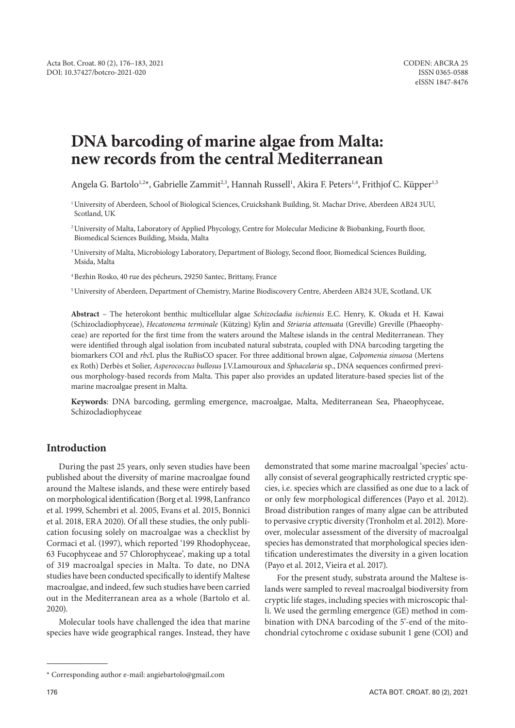# **DNA barcoding of marine algae from Malta: new records from the central Mediterranean**

Angela G. Bartolo<sup>1,2</sup>\*, Gabrielle Zammit<sup>2,3</sup>, Hannah Russell<sup>1</sup>, Akira F. Peters<sup>1,4</sup>, Frithjof C. Küpper<sup>1,5</sup>

1University of Aberdeen, School of Biological Sciences, Cruickshank Building, St. Machar Drive, Aberdeen AB24 3UU, Scotland, UK

<sup>2</sup>University of Malta, Laboratory of Applied Phycology, Centre for Molecular Medicine & Biobanking, Fourth floor, Biomedical Sciences Building, Msida, Malta

<sup>3</sup>University of Malta, Microbiology Laboratory, Department of Biology, Second floor, Biomedical Sciences Building, Msida, Malta

4Bezhin Rosko, 40 rue des pêcheurs, 29250 Santec, Brittany, France

5University of Aberdeen, Department of Chemistry, Marine Biodiscovery Centre, Aberdeen AB24 3UE, Scotland, UK

**Abstract** – The heterokont benthic multicellular algae *Schizocladia ischiensis* E.C. Henry, K. Okuda et H. Kawai (Schizocladiophyceae), *Hecatonema terminale* (Kützing) Kylin and *Striaria attenuata* (Greville) Greville (Phaeophyceae) are reported for the first time from the waters around the Maltese islands in the central Mediterranean. They were identified through algal isolation from incubated natural substrata, coupled with DNA barcoding targeting the biomarkers COI and *rbc*L plus the RuBisCO spacer. For three additional brown algae, *Colpomenia sinuosa* (Mertens ex Roth) Derbès et Solier, *Asperococcus bullosus* J.V.Lamouroux and *Sphacelaria* sp., DNA sequences confirmed previous morphology-based records from Malta. This paper also provides an updated literature-based species list of the marine macroalgae present in Malta.

**Keywords**: DNA barcoding, germling emergence, macroalgae, Malta, Mediterranean Sea, Phaeophyceae, Schizocladiophyceae

## **Introduction**

During the past 25 years, only seven studies have been published about the diversity of marine macroalgae found around the Maltese islands, and these were entirely based on morphological identification (Borg et al. 1998, Lanfranco et al. 1999, Schembri et al. 2005, Evans et al. 2015, Bonnici et al. 2018, ERA 2020). Of all these studies, the only publication focusing solely on macroalgae was a checklist by Cormaci et al. (1997), which reported '199 Rhodophyceae, 63 Fucophyceae and 57 Chlorophyceae', making up a total of 319 macroalgal species in Malta. To date, no DNA studies have been conducted specifically to identify Maltese macroalgae, and indeed, few such studies have been carried out in the Mediterranean area as a whole (Bartolo et al. 2020).

Molecular tools have challenged the idea that marine species have wide geographical ranges. Instead, they have demonstrated that some marine macroalgal 'species' actually consist of several geographically restricted cryptic species, i.e. species which are classified as one due to a lack of or only few morphological differences (Payo et al. 2012). Broad distribution ranges of many algae can be attributed to pervasive cryptic diversity (Tronholm et al. 2012). Moreover, molecular assessment of the diversity of macroalgal species has demonstrated that morphological species identification underestimates the diversity in a given location (Payo et al. 2012, Vieira et al. 2017).

For the present study, substrata around the Maltese islands were sampled to reveal macroalgal biodiversity from cryptic life stages, including species with microscopic thalli. We used the germling emergence (GE) method in combination with DNA barcoding of the 5'-end of the mitochondrial cytochrome c oxidase subunit 1 gene (COI) and

<sup>\*</sup> Corresponding author e-mail: angiebartolo@gmail.com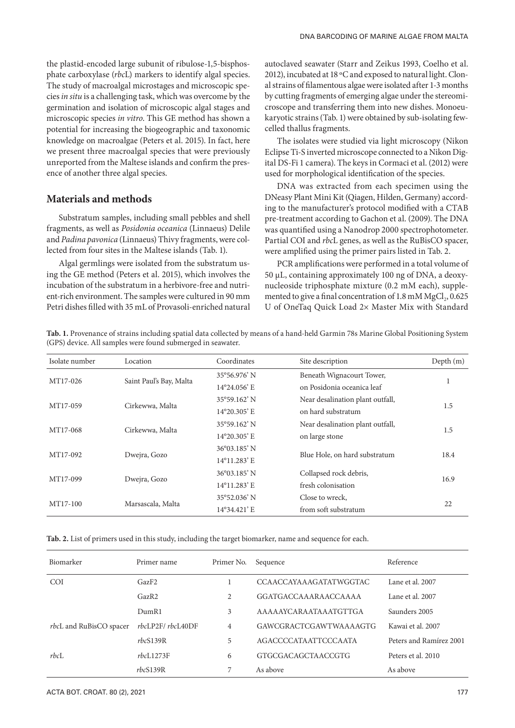the plastid-encoded large subunit of ribulose-1,5-bisphosphate carboxylase (*rbc*L) markers to identify algal species. The study of macroalgal microstages and microscopic species *in situ* is a challenging task, which was overcome by the germination and isolation of microscopic algal stages and microscopic species *in vitro*. This GE method has shown a potential for increasing the biogeographic and taxonomic knowledge on macroalgae (Peters et al. 2015). In fact, here we present three macroalgal species that were previously unreported from the Maltese islands and confirm the presence of another three algal species.

### **Materials and methods**

Substratum samples, including small pebbles and shell fragments, as well as *Posidonia oceanica* (Linnaeus) Delile and *Padina pavonica* (Linnaeus) Thivy fragments, were collected from four sites in the Maltese islands (Tab. 1).

Algal germlings were isolated from the substratum using the GE method (Peters et al. 2015), which involves the incubation of the substratum in a herbivore-free and nutrient-rich environment. The samples were cultured in 90 mm Petri dishes filled with 35 mL of Provasoli-enriched natural autoclaved seawater (Starr and Zeikus 1993, Coelho et al. 2012), incubated at 18 ºC and exposed to natural light. Clonal strains of filamentous algae were isolated after 1-3 months by cutting fragments of emerging algae under the stereomicroscope and transferring them into new dishes. Monoeukaryotic strains (Tab. 1) were obtained by sub-isolating fewcelled thallus fragments.

The isolates were studied via light microscopy (Nikon Eclipse Ti-S inverted microscope connected to a Nikon Digital DS-Fi 1 camera). The keys in Cormaci et al. (2012) were used for morphological identification of the species.

DNA was extracted from each specimen using the DNeasy Plant Mini Kit (Qiagen, Hilden, Germany) according to the manufacturer's protocol modified with a CTAB pre-treatment according to Gachon et al. (2009). The DNA was quantified using a Nanodrop 2000 spectrophotometer. Partial COI and *rbc*L genes, as well as the RuBisCO spacer, were amplified using the primer pairs listed in Tab. 2.

PCR amplifications were performed in a total volume of 50 μL, containing approximately 100 ng of DNA, a deoxynucleoside triphosphate mixture (0.2 mM each), supplemented to give a final concentration of 1.8 mM MgCl<sub>2</sub>, 0.625 U of OneTaq Quick Load 2× Master Mix with Standard

**Tab. 1.** Provenance of strains including spatial data collected by means of a hand-held Garmin 78s Marine Global Positioning System (GPS) device. All samples were found submerged in seawater.

| Isolate number | Location                | Coordinates           | Site description                 | Depth (m) |
|----------------|-------------------------|-----------------------|----------------------------------|-----------|
| MT17-026       |                         | $35^{\circ}56.976'$ N | Beneath Wignacourt Tower,        | T         |
|                | Saint Paul's Bay, Malta | 14°24.056' E          | on Posidonia oceanica leaf       |           |
| MT17-059       | Cirkewwa, Malta         | 35°59.162' N          | Near desalination plant outfall, | 1.5       |
|                |                         | 14°20.305' E          | on hard substratum               |           |
| MT17-068       | Cirkewwa, Malta         | 35°59.162' N          | Near desalination plant outfall, | 1.5       |
|                |                         | 14°20.305' E          | on large stone                   |           |
| MT17-092       | Dwejra, Gozo            | 36°03.185' N          | Blue Hole, on hard substratum    | 18.4      |
|                |                         | 14°11.283' E          |                                  |           |
| MT17-099       |                         | 36°03.185' N          | Collapsed rock debris,           | 16.9      |
|                | Dwejra, Gozo            | 14°11.283' E          | fresh colonisation               |           |
| MT17-100       | Marsascala, Malta       | 35°52.036' N          | Close to wreck,                  | 22        |
|                |                         | 14°34.421' E          | from soft substratum             |           |

**Tab. 2.** List of primers used in this study, including the target biomarker, name and sequence for each.

| Biomarker                      | Primer name      | Primer No.     | Sequence                      | Reference               |
|--------------------------------|------------------|----------------|-------------------------------|-------------------------|
| <b>COI</b>                     | GazF2            |                | <b>CCAACCAYAAAGATATWGGTAC</b> | Lane et al. 2007        |
|                                | GazR2            | 2              | GGATGACCAAARAACCAAAA          | Lane et al. 2007        |
|                                | DumR1            | 3              | AAAAAYCARAATAAATGTTGA         | Saunders 2005           |
| <i>rbcL</i> and RuBisCO spacer | rbcLP2F/rbcL40DF | $\overline{4}$ | <b>GAWCGRACTCGAWTWAAAAGTG</b> | Kawai et al. 2007       |
|                                | rbcS139R         | 5              | <b>AGACCCCATA ATTCCCA ATA</b> | Peters and Ramírez 2001 |
| rbcL                           | rbcL1273F        | 6              | <b>GTGCGACAGCTAACCGTG</b>     | Peters et al. 2010      |
|                                | rbcS139R         | 7              | As above                      | As above                |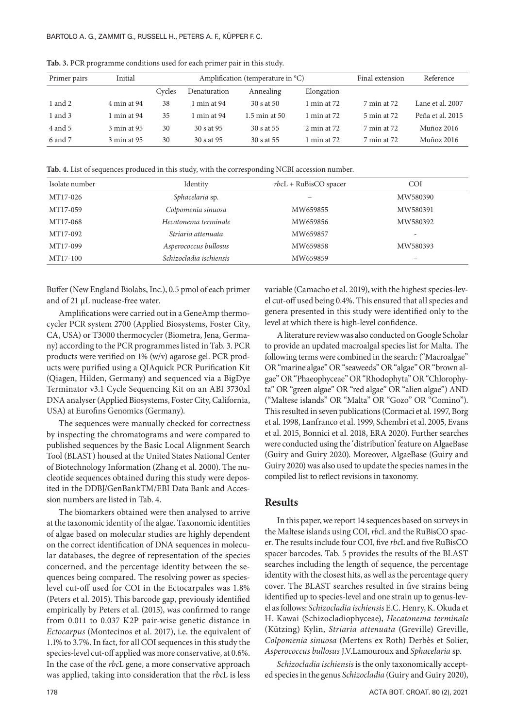| Primer pairs | Initial     |        | Amplification (temperature in °C) |               |                         |             | Reference        |
|--------------|-------------|--------|-----------------------------------|---------------|-------------------------|-------------|------------------|
|              |             | Cycles | Denaturation                      | Annealing     | Elongation              |             |                  |
| 1 and 2      | 4 min at 94 | 38     | $\mid$ min at 94                  | 30 s at 50    | 1 min at $72$           | 7 min at 72 | Lane et al. 2007 |
| 1 and 3      | 1 min at 94 | 35     | $\mid$ min at 94                  | 1.5 min at 50 | 1 min at $72$           | 5 min at 72 | Peña et al. 2015 |
| 4 and 5      | 3 min at 95 | 30     | 30 s at 95                        | 30 s at 55    | $2 \text{ min}$ at $72$ | 7 min at 72 | Muñoz 2016       |
| 6 and 7      | 3 min at 95 | 30     | 30 s at 95                        | 30 s at 55    | 1 min at $72$           | 7 min at 72 | Muñoz 2016       |

**Tab. 3.** PCR programme conditions used for each primer pair in this study.

**Tab. 4.** List of sequences produced in this study, with the corresponding NCBI accession number.

| Isolate number | Identity                | $rbcL$ + RuBisCO spacer | <b>COI</b> |
|----------------|-------------------------|-------------------------|------------|
| MT17-026       | Sphacelaria sp.         |                         | MW580390   |
| MT17-059       | Colpomenia sinuosa      | MW659855                | MW580391   |
| MT17-068       | Hecatonema terminale    | MW659856                | MW580392   |
| MT17-092       | Striaria attenuata      | MW659857                | -          |
| MT17-099       | Asperococcus bullosus   | MW659858                | MW580393   |
| MT17-100       | Schizocladia ischiensis | MW659859                |            |

Buffer (New England Biolabs, Inc.), 0.5 pmol of each primer and of 21 μL nuclease-free water.

Amplifications were carried out in a GeneAmp thermocycler PCR system 2700 (Applied Biosystems, Foster City, CA, USA) or T3000 thermocycler (Biometra, Jena, Germany) according to the PCR programmes listed in Tab. 3. PCR products were verified on 1% (w/v) agarose gel. PCR products were purified using a QIAquick PCR Purification Kit (Qiagen, Hilden, Germany) and sequenced via a BigDye Terminator v3.1 Cycle Sequencing Kit on an ABI 3730xl DNA analyser (Applied Biosystems, Foster City, California, USA) at Eurofins Genomics (Germany).

The sequences were manually checked for correctness by inspecting the chromatograms and were compared to published sequences by the Basic Local Alignment Search Tool (BLAST) housed at the United States National Center of Biotechnology Information (Zhang et al. 2000). The nucleotide sequences obtained during this study were deposited in the DDBJ/GenBankTM/EBI Data Bank and Accession numbers are listed in Tab. 4.

The biomarkers obtained were then analysed to arrive at the taxonomic identity of the algae. Taxonomic identities of algae based on molecular studies are highly dependent on the correct identification of DNA sequences in molecular databases, the degree of representation of the species concerned, and the percentage identity between the sequences being compared. The resolving power as specieslevel cut-off used for COI in the Ectocarpales was 1.8% (Peters et al. 2015). This barcode gap, previously identified empirically by Peters et al. (2015), was confirmed to range from 0.011 to 0.037 K2P pair-wise genetic distance in *Ectocarpus* (Montecinos et al. 2017), i.e. the equivalent of 1.1% to 3.7%. In fact, for all COI sequences in this study the species-level cut-off applied was more conservative, at 0.6%. In the case of the *rbc*L gene, a more conservative approach was applied, taking into consideration that the *rbc*L is less

variable (Camacho et al. 2019), with the highest species-level cut-off used being 0.4%. This ensured that all species and genera presented in this study were identified only to the level at which there is high-level confidence.

A literature review was also conducted on Google Scholar to provide an updated macroalgal species list for Malta. The following terms were combined in the search: ("Macroalgae" OR "marine algae" OR "seaweeds" OR "algae" OR "brown algae" OR "Phaeophyceae" OR "Rhodophyta" OR "Chlorophyta" OR "green algae" OR "red algae" OR "alien algae") AND ("Maltese islands" OR "Malta" OR "Gozo" OR "Comino"). This resulted in seven publications (Cormaci et al. 1997, Borg et al. 1998, Lanfranco et al. 1999, Schembri et al. 2005, Evans et al. 2015, Bonnici et al. 2018, ERA 2020). Further searches were conducted using the 'distribution' feature on AlgaeBase (Guiry and Guiry 2020). Moreover, AlgaeBase (Guiry and Guiry 2020) was also used to update the species names in the compiled list to reflect revisions in taxonomy.

#### **Results**

In this paper, we report 14 sequences based on surveys in the Maltese islands using COI, *rbc*L and the RuBisCO spacer. The results include four COI, five *rbc*L and five RuBisCO spacer barcodes. Tab. 5 provides the results of the BLAST searches including the length of sequence, the percentage identity with the closest hits, as well as the percentage query cover. The BLAST searches resulted in five strains being identified up to species-level and one strain up to genus-level as follows: *Schizocladia ischiensis* E.C. Henry, K. Okuda et H. Kawai (Schizocladiophyceae), *Hecatonema terminale* (Kützing) Kylin, *Striaria attenuata* (Greville) Greville, *Colpomenia sinuosa* (Mertens ex Roth) Derbès et Solier, *Asperococcus bullosus* J.V.Lamouroux and *Sphacelaria* sp.

*Schizocladia ischiensis* is the only taxonomically accepted species in the genus *Schizocladia* (Guiry and Guiry 2020),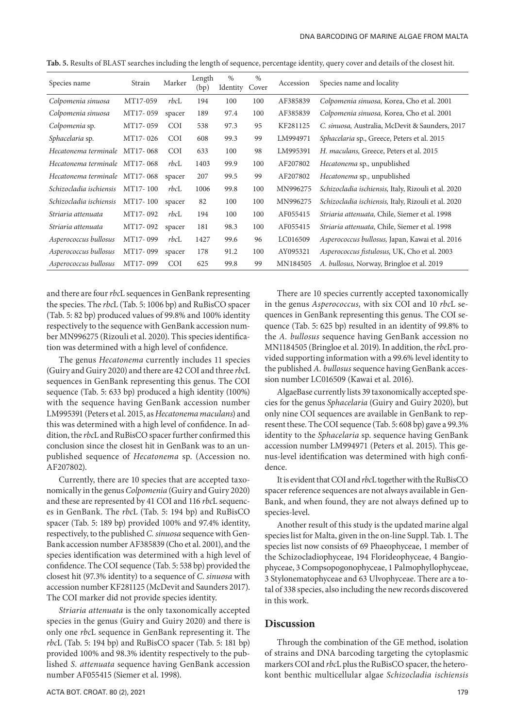| Species name                  | Strain   | Marker     | Length<br>(bp) | $\%$<br>Identity | $\%$<br>Cover | Accession | Species name and locality                                  |
|-------------------------------|----------|------------|----------------|------------------|---------------|-----------|------------------------------------------------------------|
| Colpomenia sinuosa            | MT17-059 | rbcL       | 194            | 100              | 100           | AF385839  | Colpomenia sinuosa, Korea, Cho et al. 2001                 |
| Colpomenia sinuosa            | MT17-059 | spacer     | 189            | 97.4             | 100           | AF385839  | Colpomenia sinuosa, Korea, Cho et al. 2001                 |
| Colpomenia sp.                | MT17-059 | <b>COI</b> | 538            | 97.3             | 95            | KF281125  | C. sinuosa, Australia, McDevit & Saunders, 2017            |
| Sphacelaria sp.               | MT17-026 | <b>COI</b> | 608            | 99.3             | 99            | LM994971  | <i>Sphacelaria sp., Greece, Peters et al. 2015</i>         |
| Hecatonema terminale          | MT17-068 | <b>COI</b> | 633            | 100              | 98            | LM995391  | H. maculans, Greece, Peters et al. 2015                    |
| Hecatonema terminale          | MT17-068 | rbcL       | 1403           | 99.9             | 100           | AF207802  | <i>Hecatonema</i> sp., unpublished                         |
| Hecatonema terminale MT17-068 |          | spacer     | 207            | 99.5             | 99            | AF207802  | <i>Hecatonema</i> sp., unpublished                         |
| Schizocladia ischiensis       | MT17-100 | rbcL       | 1006           | 99.8             | 100           | MN996275  | <i>Schizocladia ischiensis, Italy, Rizouli et al. 2020</i> |
| Schizocladia ischiensis       | MT17-100 | spacer     | 82             | 100              | 100           | MN996275  | <i>Schizocladia ischiensis, Italy, Rizouli et al. 2020</i> |
| Striaria attenuata            | MT17-092 | rbcL       | 194            | 100              | 100           | AF055415  | <i>Striaria attenuata, Chile, Siemer et al. 1998</i>       |
| Striaria attenuata            | MT17-092 | spacer     | 181            | 98.3             | 100           | AF055415  | <i>Striaria attenuata, Chile, Siemer et al. 1998</i>       |
| Asperococcus bullosus         | MT17-099 | rbcL       | 1427           | 99.6             | 96            | LC016509  | Asperococcus bullosus, Japan, Kawai et al. 2016            |
| Asperococcus bullosus         | MT17-099 | spacer     | 178            | 91.2             | 100           | AY095321  | Asperococcus fistulosus, UK, Cho et al. 2003               |
| Asperococcus bullosus         | MT17-099 | <b>COI</b> | 625            | 99.8             | 99            | MN184505  | A. <i>bullosus</i> , Norway, Bringloe et al. 2019          |

**Tab. 5.** Results of BLAST searches including the length of sequence, percentage identity, query cover and details of the closest hit.

and there are four *rbc*L sequences in GenBank representing the species. The *rbc*L (Tab. 5: 1006 bp) and RuBisCO spacer (Tab. 5: 82 bp) produced values of 99.8% and 100% identity respectively to the sequence with GenBank accession number MN996275 (Rizouli et al. 2020). This species identification was determined with a high level of confidence.

The genus *Hecatonema* currently includes 11 species (Guiry and Guiry 2020) and there are 42 COI and three *rbc*L sequences in GenBank representing this genus. The COI sequence (Tab. 5: 633 bp) produced a high identity (100%) with the sequence having GenBank accession number LM995391 (Peters et al. 2015, as *Hecatonema maculans*) and this was determined with a high level of confidence. In addition, the *rbc*L and RuBisCO spacer further confirmed this conclusion since the closest hit in GenBank was to an unpublished sequence of *Hecatonema* sp. (Accession no. AF207802).

Currently, there are 10 species that are accepted taxonomically in the genus *Colpomenia* (Guiry and Guiry 2020) and these are represented by 41 COI and 116 *rbc*L sequences in GenBank. The *rbc*L (Tab. 5: 194 bp) and RuBisCO spacer (Tab. 5: 189 bp) provided 100% and 97.4% identity, respectively, to the published *C. sinuosa* sequence with Gen-Bank accession number AF385839 (Cho et al. 2001), and the species identification was determined with a high level of confidence. The COI sequence (Tab. 5: 538 bp) provided the closest hit (97.3% identity) to a sequence of *C*. *sinuosa* with accession number KF281125 (McDevit and Saunders 2017). The COI marker did not provide species identity.

*Striaria attenuata* is the only taxonomically accepted species in the genus (Guiry and Guiry 2020) and there is only one *rbc*L sequence in GenBank representing it. The *rbc*L (Tab. 5: 194 bp) and RuBisCO spacer (Tab. 5: 181 bp) provided 100% and 98.3% identity respectively to the published *S. attenuata* sequence having GenBank accession number AF055415 (Siemer et al. 1998).

There are 10 species currently accepted taxonomically in the genus *Asperococcus,* with six COI and 10 *rbc*L sequences in GenBank representing this genus. The COI sequence (Tab. 5: 625 bp) resulted in an identity of 99.8% to the *A. bullosus* sequence having GenBank accession no MN1184505 (Bringloe et al. 2019). In addition, the *rbc*L provided supporting information with a 99.6% level identity to the published *A. bullosus* sequence having GenBank accession number LC016509 (Kawai et al. 2016).

AlgaeBase currently lists 39 taxonomically accepted species for the genus *Sphacelaria* (Guiry and Guiry 2020), but only nine COI sequences are available in GenBank to represent these. The COI sequence (Tab. 5: 608 bp) gave a 99.3% identity to the *Sphacelaria* sp. sequence having GenBank accession number LM994971 (Peters et al. 2015). This genus-level identification was determined with high confidence.

It is evident that COI and *rbc*L together with the RuBisCO spacer reference sequences are not always available in Gen-Bank, and when found, they are not always defined up to species-level.

Another result of this study is the updated marine algal species list for Malta, given in the on-line Suppl. Tab. 1. The species list now consists of 69 Phaeophyceae, 1 member of the Schizocladiophyceae, 194 Florideophyceae, 4 Bangiophyceae, 3 Compsopogonophyceae, 1 Palmophyllophyceae, 3 Stylonematophyceae and 63 Ulvophyceae. There are a total of 338 species, also including the new records discovered in this work.

#### **Discussion**

Through the combination of the GE method, isolation of strains and DNA barcoding targeting the cytoplasmic markers COI and *rbc*L plus the RuBisCO spacer, the heterokont benthic multicellular algae *Schizocladia ischiensis*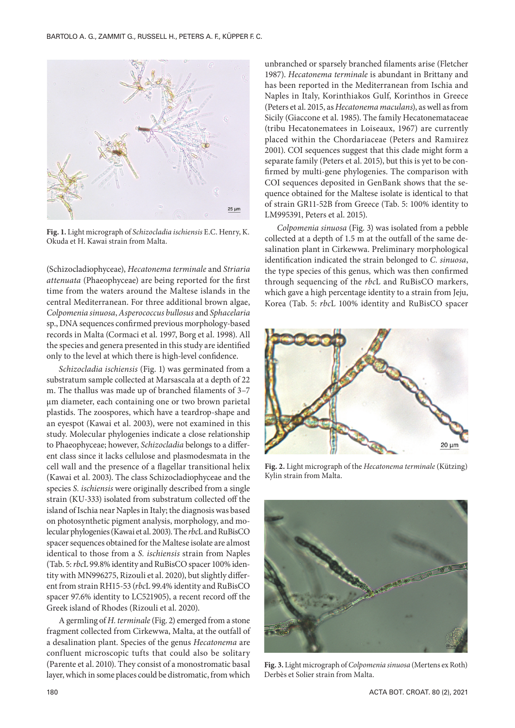

**Fig. 1.** Light micrograph of *Schizocladia ischiensis* E.C. Henry, K. Okuda et H. Kawai strain from Malta.

(Schizocladiophyceae), *Hecatonema terminale* and *Striaria attenuata* (Phaeophyceae) are being reported for the first time from the waters around the Maltese islands in the central Mediterranean. For three additional brown algae, *Colpomenia sinuosa*, *Asperococcus bullosus* and *Sphacelaria* sp., DNA sequences confirmed previous morphology-based records in Malta (Cormaci et al. 1997, Borg et al. 1998). All the species and genera presented in this study are identified only to the level at which there is high-level confidence.

*Schizocladia ischiensis* (Fig. 1) was germinated from a substratum sample collected at Marsascala at a depth of 22 m. The thallus was made up of branched filaments of 3–7 μm diameter, each containing one or two brown parietal plastids. The zoospores, which have a teardrop-shape and an eyespot (Kawai et al. 2003), were not examined in this study. Molecular phylogenies indicate a close relationship to Phaeophyceae; however, *Schizocladia* belongs to a different class since it lacks cellulose and plasmodesmata in the cell wall and the presence of a flagellar transitional helix (Kawai et al. 2003). The class Schizocladiophyceae and the species *S. ischiensis* were originally described from a single strain (KU-333) isolated from substratum collected off the island of Ischia near Naples in Italy; the diagnosis was based on photosynthetic pigment analysis, morphology, and molecular phylogenies (Kawai et al. 2003). The *rbc*L and RuBisCO spacer sequences obtained for the Maltese isolate are almost identical to those from a *S. ischiensis* strain from Naples (Tab. 5: *rbc*L 99.8% identity and RuBisCO spacer 100% identity with MN996275, Rizouli et al. 2020), but slightly different from strain RH15-53 (*rbc*L 99.4% identity and RuBisCO spacer 97.6% identity to LC521905), a recent record off the Greek island of Rhodes (Rizouli et al. 2020).

A germling of *H. terminale* (Fig. 2) emerged from a stone fragment collected from Cirkewwa, Malta, at the outfall of a desalination plant. Species of the genus *Hecatonema* are confluent microscopic tufts that could also be solitary (Parente et al. 2010). They consist of a monostromatic basal layer, which in some places could be distromatic, from which

unbranched or sparsely branched filaments arise (Fletcher 1987). *Hecatonema terminale* is abundant in Brittany and has been reported in the Mediterranean from Ischia and Naples in Italy, Korinthiakos Gulf, Korinthos in Greece (Peters et al. 2015, as *Hecatonema maculans*), as well as from Sicily (Giaccone et al. 1985). The family Hecatonemataceae (tribu Hecatonematees in Loiseaux, 1967) are currently placed within the Chordariaceae (Peters and Ramıirez 2001). COI sequences suggest that this clade might form a separate family (Peters et al. 2015), but this is yet to be confirmed by multi-gene phylogenies. The comparison with COI sequences deposited in GenBank shows that the sequence obtained for the Maltese isolate is identical to that of strain GR11-52B from Greece (Tab. 5: 100% identity to LM995391, Peters et al. 2015).

*Colpomenia sinuosa* (Fig. 3) was isolated from a pebble collected at a depth of 1.5 m at the outfall of the same desalination plant in Cirkewwa. Preliminary morphological identification indicated the strain belonged to *C. sinuosa*, the type species of this genus*,* which was then confirmed through sequencing of the *rbc*L and RuBisCO markers, which gave a high percentage identity to a strain from Jeju, Korea (Tab. 5: *rbc*L 100% identity and RuBisCO spacer



**Fig. 2.** Light micrograph of the *Hecatonema terminale* (Kützing) Kylin strain from Malta.



**Fig. 3.** Light micrograph of *Colpomenia sinuosa* (Mertens ex Roth) Derbès et Solier strain from Malta.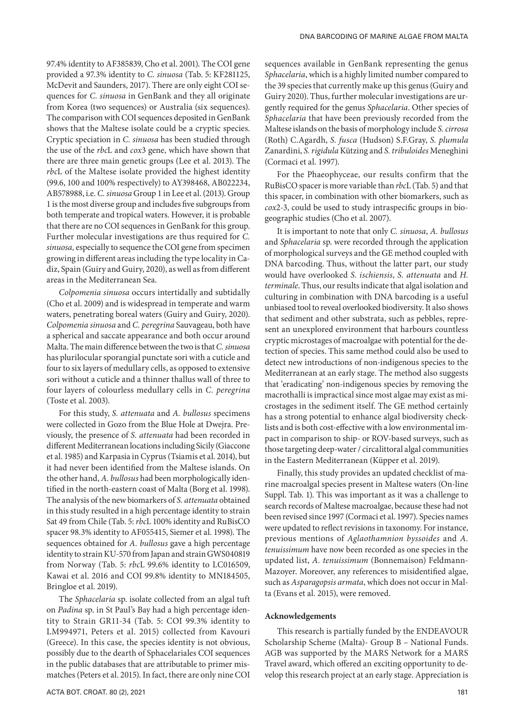97.4% identity to AF385839, Cho et al. 2001). The COI gene provided a 97.3% identity to *C. sinuosa* (Tab. 5: KF281125, McDevit and Saunders, 2017). There are only eight COI sequences for *C. sinuosa* in GenBank and they all originate from Korea (two sequences) or Australia (six sequences). The comparison with COI sequences deposited in GenBank shows that the Maltese isolate could be a cryptic species. Cryptic speciation in *C. sinuosa* has been studied through the use of the *rbc*L and *cox*3 gene, which have shown that there are three main genetic groups (Lee et al. 2013). The *rbc*L of the Maltese isolate provided the highest identity (99.6, 100 and 100% respectively) to AY398468, AB022234, AB578988, i.e. *C. sinuosa* Group 1 in Lee et al. (2013). Group 1 is the most diverse group and includes five subgroups from both temperate and tropical waters. However, it is probable that there are no COI sequences in GenBank for this group. Further molecular investigations are thus required for *C. sinuosa,* especially to sequence the COI gene from specimen growing in different areas including the type locality in Cadiz, Spain (Guiry and Guiry, 2020), as well as from different areas in the Mediterranean Sea.

*Colpomenia sinuosa* occurs intertidally and subtidally (Cho et al. 2009) and is widespread in temperate and warm waters, penetrating boreal waters (Guiry and Guiry, 2020). *Colpomenia sinuosa* and *C. peregrina* Sauvageau, both have a spherical and saccate appearance and both occur around Malta. The main difference between the two is that *C. sinuosa* has plurilocular sporangial punctate sori with a cuticle and four to six layers of medullary cells, as opposed to extensive sori without a cuticle and a thinner thallus wall of three to four layers of colourless medullary cells in *C. peregrina* (Toste et al. 2003).

For this study, *S. attenuata* and *A. bullosus* specimens were collected in Gozo from the Blue Hole at Dwejra. Previously, the presence of *S. attenuata* had been recorded in different Mediterranean locations including Sicily (Giaccone et al. 1985) and Karpasia in Cyprus (Tsiamis et al. 2014), but it had never been identified from the Maltese islands. On the other hand, *A. bullosus* had been morphologically identified in the north-eastern coast of Malta (Borg et al. 1998). The analysis of the new biomarkers of *S. attenuata* obtained in this study resulted in a high percentage identity to strain Sat 49 from Chile (Tab. 5: *rbc*L 100% identity and RuBisCO spacer 98.3% identity to AF055415, Siemer et al. 1998). The sequences obtained for *A. bullosus* gave a high percentage identity to strain KU-570 from Japan and strain GWS040819 from Norway (Tab. 5: *rbc*L 99.6% identity to LC016509, Kawai et al. 2016 and COI 99.8% identity to MN184505, Bringloe et al. 2019).

The *Sphacelaria* sp. isolate collected from an algal tuft on *Padina* sp. in St Paul's Bay had a high percentage identity to Strain GR11-34 (Tab. 5: COI 99.3% identity to LM994971, Peters et al. 2015) collected from Kavouri (Greece). In this case, the species identity is not obvious, possibly due to the dearth of Sphacelariales COI sequences in the public databases that are attributable to primer mismatches (Peters et al. 2015). In fact, there are only nine COI sequences available in GenBank representing the genus *Sphacelaria*, which is a highly limited number compared to the 39 species that currently make up this genus (Guiry and Guiry 2020). Thus, further molecular investigations are urgently required for the genus *Sphacelaria*. Other species of *Sphacelaria* that have been previously recorded from the Maltese islands on the basis of morphology include *S. cirrosa* (Roth) C.Agardh, *S. fusca* (Hudson) S.F.Gray, *S. plumula* Zanardini, *S. rigidula* Kützing and *S. tribuloides* Meneghini (Cormaci et al. 1997).

For the Phaeophyceae, our results confirm that the RuBisCO spacer is more variable than *rbc*L (Tab. 5) and that this spacer, in combination with other biomarkers, such as *cox*2-3, could be used to study intraspecific groups in biogeographic studies (Cho et al. 2007).

It is important to note that only *C. sinuosa*, *A. bullosus* and *Sphacelaria* sp. were recorded through the application of morphological surveys and the GE method coupled with DNA barcoding. Thus, without the latter part, our study would have overlooked *S. ischiensis*, *S. attenuata* and *H. terminale*. Thus, our results indicate that algal isolation and culturing in combination with DNA barcoding is a useful unbiased tool to reveal overlooked biodiversity. It also shows that sediment and other substrata, such as pebbles, represent an unexplored environment that harbours countless cryptic microstages of macroalgae with potential for the detection of species. This same method could also be used to detect new introductions of non-indigenous species to the Mediterranean at an early stage. The method also suggests that 'eradicating' non-indigenous species by removing the macrothalli is impractical since most algae may exist as microstages in the sediment itself. The GE method certainly has a strong potential to enhance algal biodiversity checklists and is both cost-effective with a low environmental impact in comparison to ship- or ROV-based surveys, such as those targeting deep-water / circalittoral algal communities in the Eastern Mediterranean (Küpper et al. 2019).

Finally, this study provides an updated checklist of marine macroalgal species present in Maltese waters (On-line Suppl. Tab. 1). This was important as it was a challenge to search records of Maltese macroalgae, because these had not been revised since 1997 (Cormaci et al. 1997). Species names were updated to reflect revisions in taxonomy. For instance, previous mentions of *Aglaothamnion byssoides* and *A. tenuissimum* have now been recorded as one species in the updated list, *A. tenuissimum* (Bonnemaison) Feldmann-Mazoyer. Moreover, any references to misidentified algae, such as *Asparagopsis armata*, which does not occur in Malta (Evans et al. 2015), were removed.

#### **Acknowledgements**

This research is partially funded by the ENDEAVOUR Scholarship Scheme (Malta)- Group B – National Funds. AGB was supported by the MARS Network for a MARS Travel award, which offered an exciting opportunity to develop this research project at an early stage. Appreciation is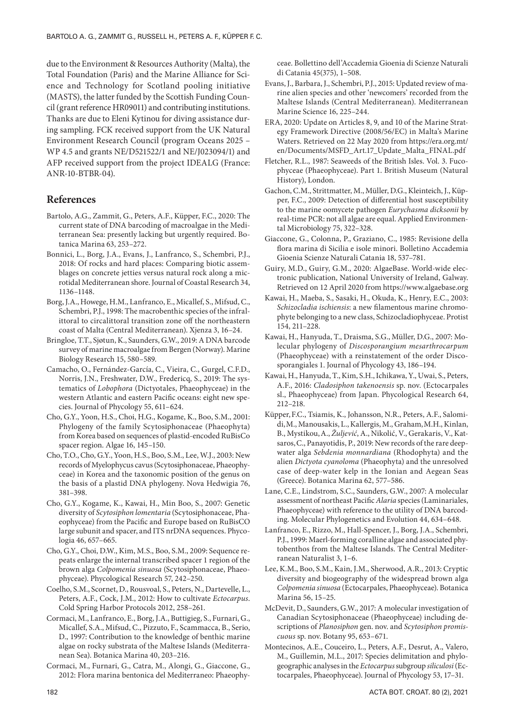due to the Environment & Resources Authority (Malta), the Total Foundation (Paris) and the Marine Alliance for Science and Technology for Scotland pooling initiative (MASTS), the latter funded by the Scottish Funding Council (grant reference HR09011) and contributing institutions. Thanks are due to Eleni Kytinou for diving assistance during sampling. FCK received support from the UK Natural Environment Research Council (program Oceans 2025 – WP 4.5 and grants NE/D521522/1 and NE/J023094/1) and AFP received support from the project IDEALG (France: ANR-10-BTBR-04).

## **References**

- Bartolo, A.G., Zammit, G., Peters, A.F., Küpper, F.C., 2020: The current state of DNA barcoding of macroalgae in the Mediterranean Sea: presently lacking but urgently required. Botanica Marina 63, 253–272.
- Bonnici, L., Borg, J.A., Evans, J., Lanfranco, S., Schembri, P.J., 2018: Of rocks and hard places: Comparing biotic assemblages on concrete jetties versus natural rock along a microtidal Mediterranean shore. Journal of Coastal Research 34, 1136–1148.
- Borg, J.A., Howege, H.M., Lanfranco, E., Micallef, S., Mifsud, C., Schembri, P.J., 1998: The macrobenthic species of the infralittoral to circalittoral transition zone off the northeastern coast of Malta (Central Mediterranean). Xjenza 3, 16–24.
- Bringloe, T.T., Sjøtun, K., Saunders, G.W., 2019: A DNA barcode survey of marine macroalgae from Bergen (Norway). Marine Biology Research 15, 580–589.
- Camacho, O., Fernández‐García, C., Vieira, C., Gurgel, C.F.D., Norris, J.N., Freshwater, D.W., Fredericq, S., 2019: The systematics of *Lobophora* (Dictyotales, Phaeophyceae) in the western Atlantic and eastern Pacific oceans: eight new species. Journal of Phycology 55, 611–624.
- Cho, G.Y., Yoon, H.S., Choi, H.G., Kogame, K., Boo, S.M., 2001: Phylogeny of the family Scytosiphonaceae (Phaeophyta) from Korea based on sequences of plastid-encoded RuBisCo spacer region. Algae 16, 145–150.
- Cho, T.O., Cho, G.Y., Yoon, H.S., Boo, S.M., Lee, W.J., 2003: New records of Myelophycus cavus (Scytosiphonaceae, Phaeophyceae) in Korea and the taxonomic position of the genus on the basis of a plastid DNA phylogeny. Nova Hedwigia 76, 381–398.
- Cho, G.Y., Kogame, K., Kawai, H., Min Boo, S., 2007: Genetic diversity of *Scytosiphon lomentaria* (Scytosiphonaceae, Phaeophyceae) from the Pacific and Europe based on RuBisCO large subunit and spacer, and ITS nrDNA sequences. Phycologia 46, 657–665.
- Cho, G.Y., Choi, D.W., Kim, M.S., Boo, S.M., 2009: Sequence repeats enlarge the internal transcribed spacer 1 region of the brown alga *Colpomenia sinuosa* (Scytosiphonaceae, Phaeophyceae). Phycological Research 57, 242–250.
- Coelho, S.M., Scornet, D., Rousvoal, S., Peters, N., Dartevelle, L., Peters, A.F., Cock, J.M., 2012: How to cultivate *Ectocarpus*. Cold Spring Harbor Protocols 2012, 258–261.
- Cormaci, M., Lanfranco, E., Borg, J.A., Buttigieg, S., Furnari, G., Micallef, S.A., Mifsud, C., Pizzuto, F., Scammacca, B., Serio, D., 1997: Contribution to the knowledge of benthic marine algae on rocky substrata of the Maltese Islands (Mediterranean Sea). Botanica Marina 40, 203–216.
- Cormaci, M., Furnari, G., Catra, M., Alongi, G., Giaccone, G., 2012: Flora marina bentonica del Mediterraneo: Phaeophy-

ceae. Bollettino dell'Accademia Gioenia di Scienze Naturali di Catania 45(375), 1–508.

- Evans, J., Barbara, J., Schembri, P.J., 2015: Updated review of marine alien species and other 'newcomers' recorded from the Maltese Islands (Central Mediterranean). Mediterranean Marine Science 16, 225–244.
- ERA, 2020: Update on Articles 8, 9, and 10 of the Marine Strategy Framework Directive (2008/56/ΕC) in Malta's Marine Waters. Retrieved on 22 May 2020 from https://era.org.mt/ en/Documents/MSFD\_Art.17\_Update\_Malta\_FINAL.pdf
- Fletcher, R.L., 1987: Seaweeds of the British Isles. Vol. 3. Fucophyceae (Phaeophyceae). Part 1. British Museum (Natural History), London.
- Gachon, C.M., Strittmatter, M., Müller, D.G., Kleinteich, J., Küpper, F.C., 2009: Detection of differential host susceptibility to the marine oomycete pathogen *Eurychasma dicksonii* by real-time PCR: not all algae are equal. Applied Environmental Microbiology 75, 322–328.
- Giaccone, G., Colonna, P., Graziano, C., 1985: Revisione della flora marina di Sicilia e isole minori. Bolletino Accademia Gioenia Scienze Naturali Catania 18, 537–781.
- Guiry, M.D., Guiry, G.M., 2020: AlgaeBase. World-wide electronic publication, National University of Ireland, Galway. Retrieved on 12 April 2020 from https://www.algaebase.org
- Kawai, H., Maeba, S., Sasaki, H., Okuda, K., Henry, E.C., 2003: *Schizocladia ischiensis*: a new filamentous marine chromophyte belonging to a new class, Schizocladiophyceae. Protist 154, 211–228.
- Kawai, H., Hanyuda, T., Draisma, S.G., Müller, D.G., 2007: Molecular phylogeny of *Discosporangium mesarthrocarpum* (Phaeophyceae) with a reinstatement of the order Discosporangiales 1. Journal of Phycology 43, 186–194.
- Kawai, H., Hanyuda, T., Kim, S.H., Ichikawa, Y., Uwai, S., Peters, A.F., 2016: *Cladosiphon takenoensis* sp. nov. (Ectocarpales sl., Phaeophyceae) from Japan. Phycological Research 64, 212–218.
- Küpper,F.C., Tsiamis, K., Johansson, N.R., Peters, A.F., Salomidi,M., Manousakis, L., Kallergis, M., Graham,M.H., Kinlan, B., Mystikou,A., *Žuljević*, A., Nikolić, V., Gerakaris, V., Katsaros,C., Panayotidis, P., 2019: New records of the rare deepwater alga *Sebdenia monnardiana* (Rhodophyta) and the alien *Dictyota cyanoloma* (Phaeophyta) and the unresolved case of deep-water kelp in the Ionian and Aegean Seas (Greece). Botanica Marina 62, 577–586.
- Lane, C.E., Lindstrom, S.C., Saunders, G.W., 2007: A molecular assessment of northeast Pacific *Alaria* species (Laminariales, Phaeophyceae) with reference to the utility of DNA barcoding. Molecular Phylogenetics and Evolution 44, 634–648.
- Lanfranco, E., Rizzo, M., Hall-Spencer, J., Borg, J.A., Schembri, P.J., 1999: Maerl-forming coralline algae and associated phytobenthos from the Maltese Islands. The Central Mediterranean Naturalist 3, 1–6.
- Lee, K.M., Boo, S.M., Kain, J.M., Sherwood, A.R., 2013: Cryptic diversity and biogeography of the widespread brown alga *Colpomenia sinuosa* (Ectocarpales, Phaeophyceae). Botanica Marina 56, 15–25.
- McDevit, D., Saunders, G.W., 2017: A molecular investigation of Canadian Scytosiphonaceae (Phaeophyceae) including descriptions of *Planosiphon* gen. nov. and *Scytosiphon promiscuous* sp. nov. Botany 95, 653–671.
- Montecinos, A.E., Couceiro, L., Peters, A.F., Desrut, A., Valero, M., Guillemin, M.L., 2017: Species delimitation and phylogeographic analyses in the *Ectocarpus* subgroup *siliculosi* (Ectocarpales, Phaeophyceae). Journal of Phycology 53, 17–31.